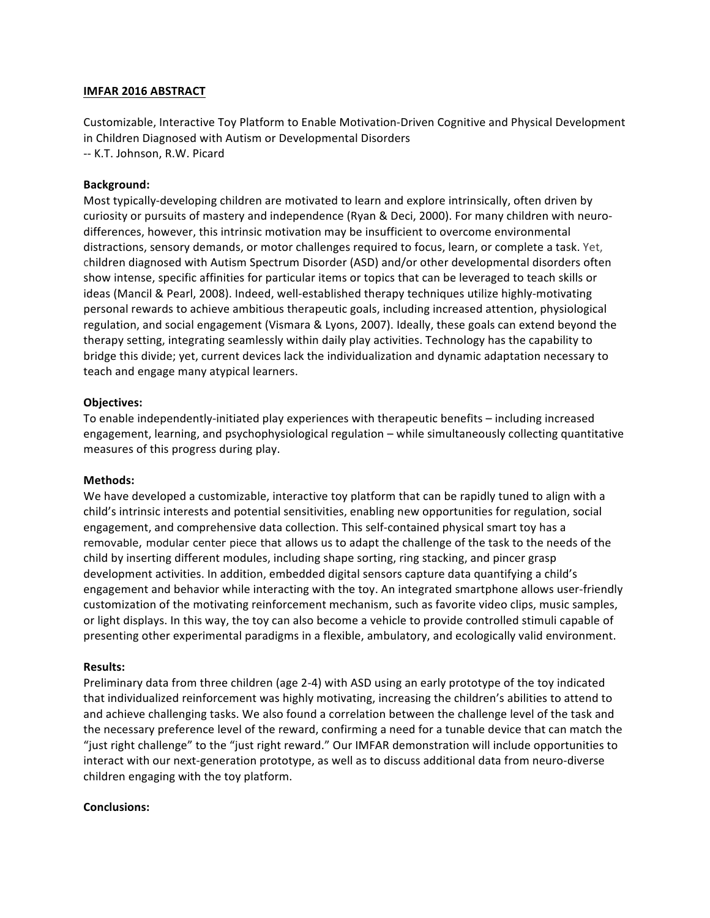## **IMFAR 2016 ABSTRACT**

Customizable, Interactive Toy Platform to Enable Motivation-Driven Cognitive and Physical Development in Children Diagnosed with Autism or Developmental Disorders -- K.T. Johnson, R.W. Picard

# **Background:**

Most typically-developing children are motivated to learn and explore intrinsically, often driven by curiosity or pursuits of mastery and independence (Ryan & Deci, 2000). For many children with neurodifferences, however, this intrinsic motivation may be insufficient to overcome environmental distractions, sensory demands, or motor challenges required to focus, learn, or complete a task. Yet, children diagnosed with Autism Spectrum Disorder (ASD) and/or other developmental disorders often show intense, specific affinities for particular items or topics that can be leveraged to teach skills or ideas (Mancil & Pearl, 2008). Indeed, well-established therapy techniques utilize highly-motivating personal rewards to achieve ambitious therapeutic goals, including increased attention, physiological regulation, and social engagement (Vismara & Lyons, 2007). Ideally, these goals can extend beyond the therapy setting, integrating seamlessly within daily play activities. Technology has the capability to bridge this divide; yet, current devices lack the individualization and dynamic adaptation necessary to teach and engage many atypical learners.

# **Objectives:**

To enable independently-initiated play experiences with therapeutic benefits – including increased engagement, learning, and psychophysiological regulation – while simultaneously collecting quantitative measures of this progress during play.

## **Methods:**

We have developed a customizable, interactive toy platform that can be rapidly tuned to align with a child's intrinsic interests and potential sensitivities, enabling new opportunities for regulation, social engagement, and comprehensive data collection. This self-contained physical smart toy has a removable, modular center piece that allows us to adapt the challenge of the task to the needs of the child by inserting different modules, including shape sorting, ring stacking, and pincer grasp development activities. In addition, embedded digital sensors capture data quantifying a child's engagement and behavior while interacting with the toy. An integrated smartphone allows user-friendly customization of the motivating reinforcement mechanism, such as favorite video clips, music samples, or light displays. In this way, the toy can also become a vehicle to provide controlled stimuli capable of presenting other experimental paradigms in a flexible, ambulatory, and ecologically valid environment.

## **Results:**

Preliminary data from three children (age 2-4) with ASD using an early prototype of the toy indicated that individualized reinforcement was highly motivating, increasing the children's abilities to attend to and achieve challenging tasks. We also found a correlation between the challenge level of the task and the necessary preference level of the reward, confirming a need for a tunable device that can match the "just right challenge" to the "just right reward." Our IMFAR demonstration will include opportunities to interact with our next-generation prototype, as well as to discuss additional data from neuro-diverse children engaging with the toy platform.

## **Conclusions:**